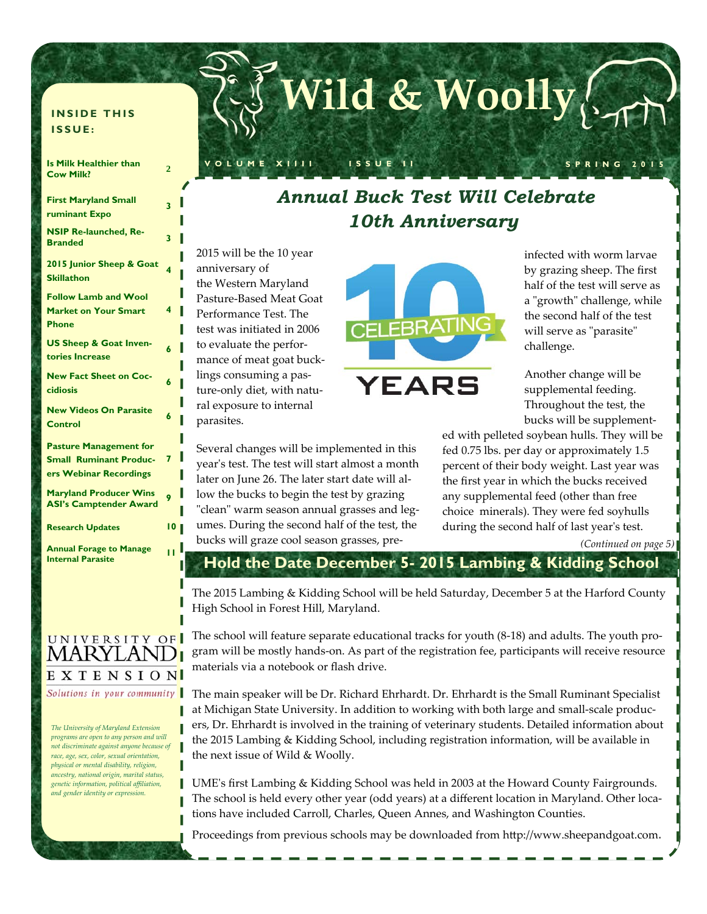#### **INSIDE THIS ISSUE:**

| <b>Is Milk Healthier than</b><br><b>Cow Milk?</b>                                        | 2  |
|------------------------------------------------------------------------------------------|----|
| <b>First Maryland Small</b><br>ruminant Expo                                             | 3  |
| <b>NSIP Re-launched, Re-</b><br><b>Branded</b>                                           | 3  |
| 2015 Junior Sheep & Goat<br><b>Skillathon</b>                                            | 4  |
| <b>Follow Lamb and Wool</b><br><b>Market on Your Smart</b><br><b>Phone</b>               | 4  |
| <b>US Sheep &amp; Goat Inven-</b><br>tories Increase                                     | 6  |
| <b>New Fact Sheet on Coc-</b><br>cidiosis                                                | 6  |
| <b>New Videos On Parasite</b><br>Control                                                 | 6  |
| <b>Pasture Management for</b><br><b>Small Ruminant Produc-</b><br>ers Webinar Recordings | 7  |
| <b>Maryland Producer Wins</b><br><b>ASI's Camptender Award</b>                           | 9  |
| <b>Research Updates</b>                                                                  | 10 |

**Annual Forage to Manage** 

### UNIVERSITY OF MARYLAI EXTENSION Solutions in your community

П

П

*The University of Maryland Extension programs are open to any person and will not discriminate against anyone because of race, age, sex, color, sexual orientation, physical or mental disability, religion, ancestry, national origin, marital status, genetic information, political affiliation, and gender identity or expression.* 

## *Annual Buck Test Will Celebrate 10th Anniversary*

**VOLUME XIIII ISSUE II SPRING 2015** 

**Wild & Woolly**

2015 will be the 10 year anniversary of the Western Maryland Pasture‐Based Meat Goat Performance Test. The test was initiated in 2006 to evaluate the perfor‐ mance of meat goat buck‐ lings consuming a pas‐ ture‐only diet, with natu‐ ral exposure to internal parasites.

Several changes will be implemented in this yearʹs test. The test will start almost a month later on June 26. The later start date will al‐

low the bucks to begin the test by grazing "clean" warm season annual grasses and legumes. During the second half of the test, the bucks will graze cool season grasses, pre‐



infected with worm larvae by grazing sheep. The first half of the test will serve as a "growth" challenge, while the second half of the test will serve as "parasite" challenge.

Another change will be supplemental feeding. Throughout the test, the bucks will be supplement‐

ed with pelleted soybean hulls. They will be fed 0.75 lbs. per day or approximately 1.5 percent of their body weight. Last year was the first year in which the bucks received any supplemental feed (other than free choice minerals). They were fed soyhulls during the second half of last year's test.

# **Internal Parasite 11** *(Continued on page 5)*  **Hold the Date December 5- 2015 Lambing & Kidding School**

The 2015 Lambing & Kidding School will be held Saturday, December 5 at the Harford County High School in Forest Hill, Maryland.

The school will feature separate educational tracks for youth (8‐18) and adults. The youth pro‐ gram will be mostly hands‐on. As part of the registration fee, participants will receive resource materials via a notebook or flash drive.

The main speaker will be Dr. Richard Ehrhardt. Dr. Ehrhardt is the Small Ruminant Specialist at Michigan State University. In addition to working with both large and small-scale producers, Dr. Ehrhardt is involved in the training of veterinary students. Detailed information about the 2015 Lambing & Kidding School, including registration information, will be available in the next issue of Wild & Woolly.

**UME**'s first Lambing & Kidding School was held in 2003 at the Howard County Fairgrounds. The school is held every other year (odd years) at a different location in Maryland. Other locations have included Carroll, Charles, Queen Annes, and Washington Counties.

Proceedings from previous schools may be downloaded from http://www.sheepandgoat.com.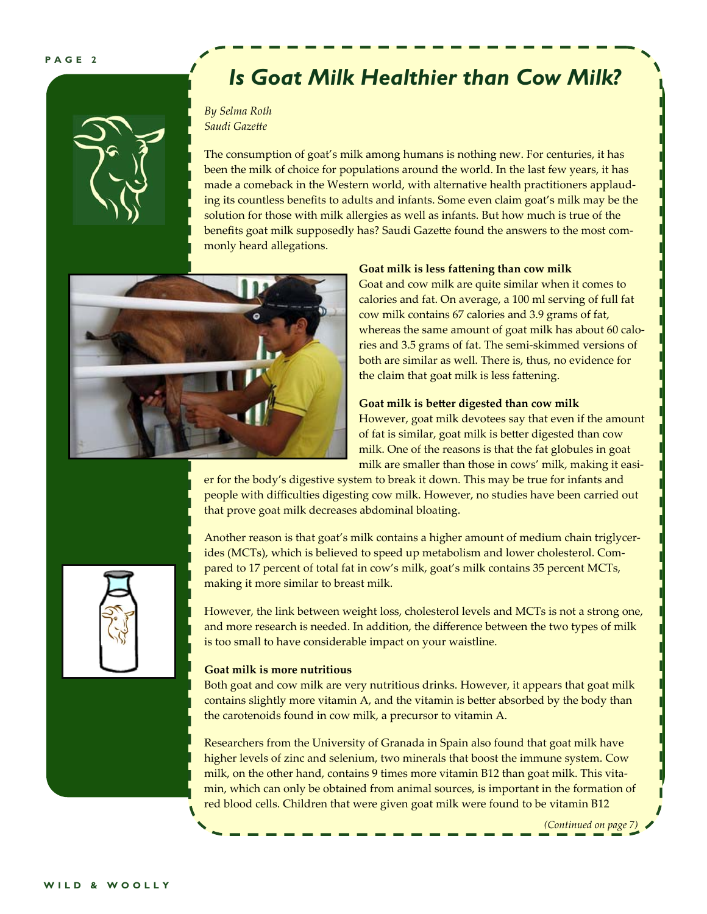

## *Is Goat Milk Healthier than Cow Milk?*

#### *By Selma Roth Saudi Gazette*

The consumption of goat's milk among humans is nothing new. For centuries, it has been the milk of choice for populations around the world. In the last few years, it has made a comeback in the Western world, with alternative health practitioners applaud‐ ing its countless benefits to adults and infants. Some even claim goat's milk may be the solution for those with milk allergies as well as infants. But how much is true of the benefits goat milk supposedly has? Saudi Gazette found the answers to the most commonly heard allegations.



#### **Goat milk is less fattening than cow milk**

Goat and cow milk are quite similar when it comes to calories and fat. On average, a 100 ml serving of full fat cow milk contains 67 calories and 3.9 grams of fat, whereas the same amount of goat milk has about 60 calories and 3.5 grams of fat. The semi‐skimmed versions of both are similar as well. There is, thus, no evidence for the claim that goat milk is less fattening.

#### **Goat milk is better digested than cow milk**

However, goat milk devotees say that even if the amount of fat is similar, goat milk is better digested than cow milk. One of the reasons is that the fat globules in goat milk are smaller than those in cows' milk, making it easi-

er for the body's digestive system to break it down. This may be true for infants and people with difficulties digesting cow milk. However, no studies have been carried out that prove goat milk decreases abdominal bloating.



Another reason is that goat's milk contains a higher amount of medium chain triglycer‐ ides (MCTs), which is believed to speed up metabolism and lower cholesterol. Compared to 17 percent of total fat in cow's milk, goat's milk contains 35 percent MCTs, making it more similar to breast milk.

However, the link between weight loss, cholesterol levels and MCTs is not a strong one, and more research is needed. In addition, the difference between the two types of milk is too small to have considerable impact on your waistline.

#### **Goat milk is more nutritious**

Both goat and cow milk are very nutritious drinks. However, it appears that goat milk contains slightly more vitamin A, and the vitamin is better absorbed by the body than the carotenoids found in cow milk, a precursor to vitamin A.

Researchers from the University of Granada in Spain also found that goat milk have higher levels of zinc and selenium, two minerals that boost the immune system. Cow milk, on the other hand, contains 9 times more vitamin B12 than goat milk. This vitamin, which can only be obtained from animal sources, is important in the formation of red blood cells. Children that were given goat milk were found to be vitamin B12

*(Continued on page 7)*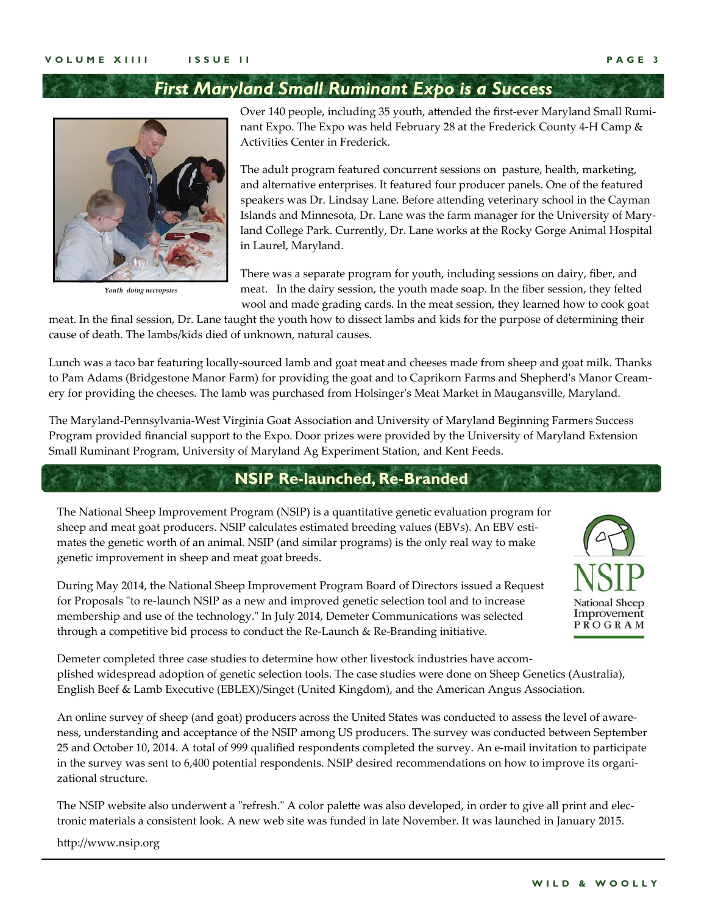### *First Maryland Small Ruminant Expo is a Success*



*Youth doing necropsies* 

Over 140 people, including 35 youth, attended the first-ever Maryland Small Ruminant Expo. The Expo was held February 28 at the Frederick County 4-H Camp & Activities Center in Frederick.

The adult program featured concurrent sessions on pasture, health, marketing, and alternative enterprises. It featured four producer panels. One of the featured speakers was Dr. Lindsay Lane. Before attending veterinary school in the Cayman Islands and Minnesota, Dr. Lane was the farm manager for the University of Mary‐ land College Park. Currently, Dr. Lane works at the Rocky Gorge Animal Hospital in Laurel, Maryland.

There was a separate program for youth, including sessions on dairy, fiber, and meat. In the dairy session, the youth made soap. In the fiber session, they felted wool and made grading cards. In the meat session, they learned how to cook goat

meat. In the final session, Dr. Lane taught the youth how to dissect lambs and kids for the purpose of determining their cause of death. The lambs/kids died of unknown, natural causes.

Lunch was a taco bar featuring locally‐sourced lamb and goat meat and cheeses made from sheep and goat milk. Thanks to Pam Adams (Bridgestone Manor Farm) for providing the goat and to Caprikorn Farms and Shepherd's Manor Creamery for providing the cheeses. The lamb was purchased from Holsingerʹs Meat Market in Maugansville, Maryland.

The Maryland‐Pennsylvania‐West Virginia Goat Association and University of Maryland Beginning Farmers Success Program provided financial support to the Expo. Door prizes were provided by the University of Maryland Extension Small Ruminant Program, University of Maryland Ag Experiment Station, and Kent Feeds.

### **NSIP Re-launched, Re-Branded**

The National Sheep Improvement Program (NSIP) is a quantitative genetic evaluation program for sheep and meat goat producers. NSIP calculates estimated breeding values (EBVs). An EBV estimates the genetic worth of an animal. NSIP (and similar programs) is the only real way to make genetic improvement in sheep and meat goat breeds.

During May 2014, the National Sheep Improvement Program Board of Directors issued a Request for Proposals "to re-launch NSIP as a new and improved genetic selection tool and to increase membership and use of the technology." In July 2014, Demeter Communications was selected through a competitive bid process to conduct the Re‐Launch & Re‐Branding initiative.



Demeter completed three case studies to determine how other livestock industries have accomplished widespread adoption of genetic selection tools. The case studies were done on Sheep Genetics (Australia), English Beef & Lamb Executive (EBLEX)/Singet (United Kingdom), and the American Angus Association.

An online survey of sheep (and goat) producers across the United States was conducted to assess the level of aware‐ ness, understanding and acceptance of the NSIP among US producers. The survey was conducted between September 25 and October 10, 2014. A total of 999 qualified respondents completed the survey. An e‐mail invitation to participate in the survey was sent to 6,400 potential respondents. NSIP desired recommendations on how to improve its organizational structure.

The NSIP website also underwent a "refresh." A color palette was also developed, in order to give all print and electronic materials a consistent look. A new web site was funded in late November. It was launched in January 2015.

http://www.nsip.org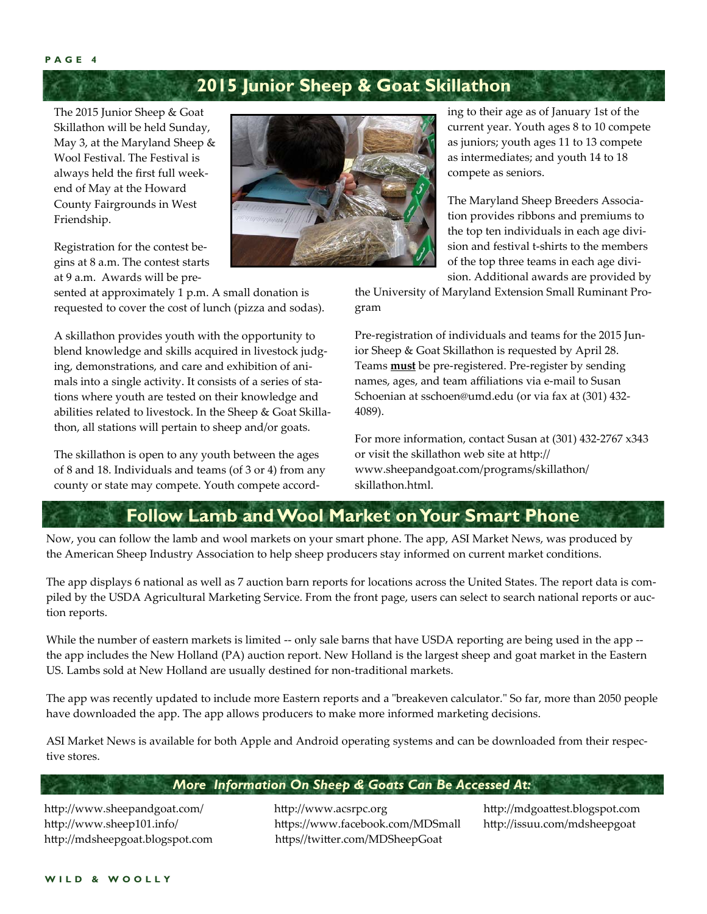## **2015 Junior Sheep & Goat Skillathon**

The 2015 Junior Sheep & Goat Skillathon will be held Sunday, May 3, at the Maryland Sheep & Wool Festival. The Festival is always held the first full week‐ end of May at the Howard County Fairgrounds in West Friendship.

Registration for the contest be‐ gins at 8 a.m. The contest starts at 9 a.m. Awards will be pre‐

sented at approximately 1 p.m. A small donation is requested to cover the cost of lunch (pizza and sodas).

A skillathon provides youth with the opportunity to blend knowledge and skills acquired in livestock judging, demonstrations, and care and exhibition of ani‐ mals into a single activity. It consists of a series of stations where youth are tested on their knowledge and abilities related to livestock. In the Sheep & Goat Skillathon, all stations will pertain to sheep and/or goats.

The skillathon is open to any youth between the ages of 8 and 18. Individuals and teams (of 3 or 4) from any county or state may compete. Youth compete accord‐



ing to their age as of January 1st of the current year. Youth ages 8 to 10 compete as juniors; youth ages 11 to 13 compete as intermediates; and youth 14 to 18 compete as seniors.

The Maryland Sheep Breeders Associa‐ tion provides ribbons and premiums to the top ten individuals in each age divi‐ sion and festival t‐shirts to the members of the top three teams in each age divi‐ sion. Additional awards are provided by

the University of Maryland Extension Small Ruminant Pro‐ gram

Pre-registration of individuals and teams for the 2015 Junior Sheep & Goat Skillathon is requested by April 28. Teams **must** be pre‐registered. Pre‐register by sending names, ages, and team affiliations via e‐mail to Susan Schoenian at sschoen@umd.edu (or via fax at (301) 432‐ 4089).

For more information, contact Susan at (301) 432‐2767 x343 or visit the skillathon web site at http:// www.sheepandgoat.com/programs/skillathon/ skillathon.html.

### **Follow Lamb and Wool Market on Your Smart Phone**

Now, you can follow the lamb and wool markets on your smart phone. The app, ASI Market News, was produced by the American Sheep Industry Association to help sheep producers stay informed on current market conditions.

The app displays 6 national as well as 7 auction barn reports for locations across the United States. The report data is compiled by the USDA Agricultural Marketing Service. From the front page, users can select to search national reports or auction reports.

While the number of eastern markets is limited -- only sale barns that have USDA reporting are being used in the app -the app includes the New Holland (PA) auction report. New Holland is the largest sheep and goat market in the Eastern US. Lambs sold at New Holland are usually destined for non-traditional markets.

The app was recently updated to include more Eastern reports and a "breakeven calculator." So far, more than 2050 people have downloaded the app. The app allows producers to make more informed marketing decisions.

ASI Market News is available for both Apple and Android operating systems and can be downloaded from their respec‐ tive stores.

#### *More Information On Sheep & Goats Can Be Accessed At:*

http://www.sheepandgoat.com/ http://www.acsrpc.org http://mdgoattest.blogspot.com http://www.sheep101.info/ https://www.facebook.com/MDSmall http://issuu.com/mdsheepgoat http://mdsheepgoat.blogspot.com https//twitter.com/MDSheepGoat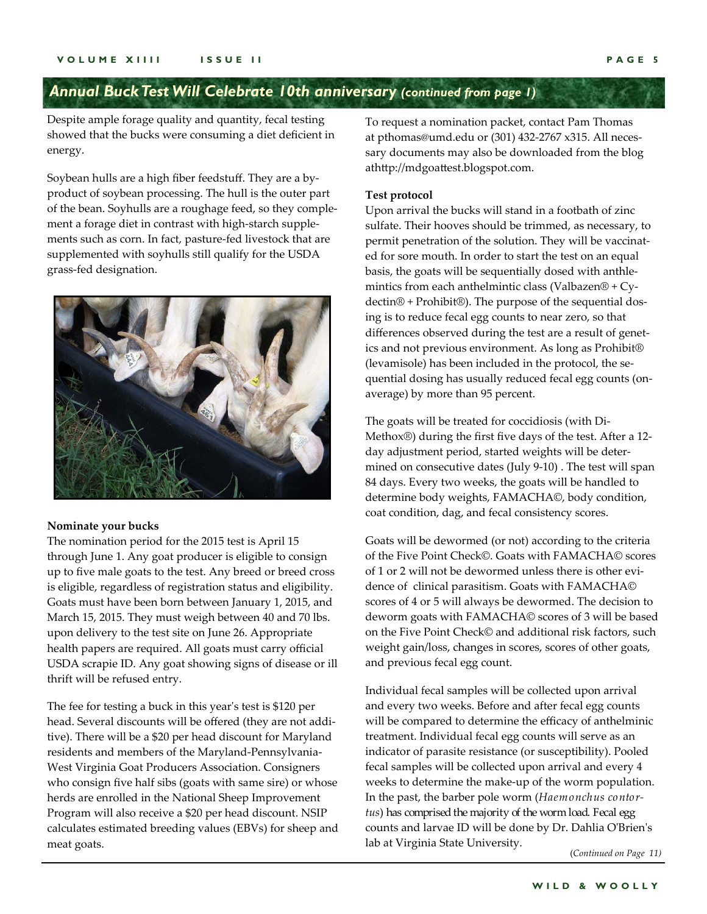## *Annual Buck Test Will Celebrate 10th anniversary (continued from page 1)*

Despite ample forage quality and quantity, fecal testing showed that the bucks were consuming a diet deficient in energy.

Soybean hulls are a high fiber feedstuff. They are a by‐ product of soybean processing. The hull is the outer part of the bean. Soyhulls are a roughage feed, so they comple‐ ment a forage diet in contrast with high‐starch supple‐ ments such as corn. In fact, pasture‐fed livestock that are supplemented with soyhulls still qualify for the USDA grass‐fed designation.



#### **Nominate your bucks**

The nomination period for the 2015 test is April 15 through June 1. Any goat producer is eligible to consign up to five male goats to the test. Any breed or breed cross is eligible, regardless of registration status and eligibility. Goats must have been born between January 1, 2015, and March 15, 2015. They must weigh between 40 and 70 lbs. upon delivery to the test site on June 26. Appropriate health papers are required. All goats must carry official USDA scrapie ID. Any goat showing signs of disease or ill thrift will be refused entry.

The fee for testing a buck in this year's test is \$120 per head. Several discounts will be offered (they are not addi‐ tive). There will be a \$20 per head discount for Maryland residents and members of the Maryland‐Pennsylvania‐ West Virginia Goat Producers Association. Consigners who consign five half sibs (goats with same sire) or whose herds are enrolled in the National Sheep Improvement Program will also receive a \$20 per head discount. NSIP calculates estimated breeding values (EBVs) for sheep and meat goats.

To request a nomination packet, contact Pam Thomas at pthomas@umd.edu or (301) 432‐2767 x315. All neces‐ sary documents may also be downloaded from the blog athttp://mdgoattest.blogspot.com.

#### **Test protocol**

Upon arrival the bucks will stand in a footbath of zinc sulfate. Their hooves should be trimmed, as necessary, to permit penetration of the solution. They will be vaccinated for sore mouth. In order to start the test on an equal basis, the goats will be sequentially dosed with anthle‐ mintics from each anthelmintic class (Valbazen® + Cy‐ dectin® + Prohibit®). The purpose of the sequential dos‐ ing is to reduce fecal egg counts to near zero, so that differences observed during the test are a result of genetics and not previous environment. As long as Prohibit® (levamisole) has been included in the protocol, the se‐ quential dosing has usually reduced fecal egg counts (on‐ average) by more than 95 percent.

The goats will be treated for coccidiosis (with Di‐ Methox®) during the first five days of the test. After a 12‐ day adjustment period, started weights will be deter‐ mined on consecutive dates (July 9‐10) . The test will span 84 days. Every two weeks, the goats will be handled to determine body weights, FAMACHA©, body condition, coat condition, dag, and fecal consistency scores.

Goats will be dewormed (or not) according to the criteria of the Five Point Check©. Goats with FAMACHA© scores of 1 or 2 will not be dewormed unless there is other evidence of clinical parasitism. Goats with FAMACHA© scores of 4 or 5 will always be dewormed. The decision to deworm goats with FAMACHA© scores of 3 will be based on the Five Point Check© and additional risk factors, such weight gain/loss, changes in scores, scores of other goats, and previous fecal egg count.

Individual fecal samples will be collected upon arrival and every two weeks. Before and after fecal egg counts will be compared to determine the efficacy of anthelminic treatment. Individual fecal egg counts will serve as an indicator of parasite resistance (or susceptibility). Pooled fecal samples will be collected upon arrival and every 4 weeks to determine the make‐up of the worm population. In the past, the barber pole worm (*Haemonchus contortus*) has comprised the majority of the worm load. Fecal egg counts and larvae ID will be done by Dr. Dahlia OʹBrienʹs lab at Virginia State University.

(*Continued on Page 11)*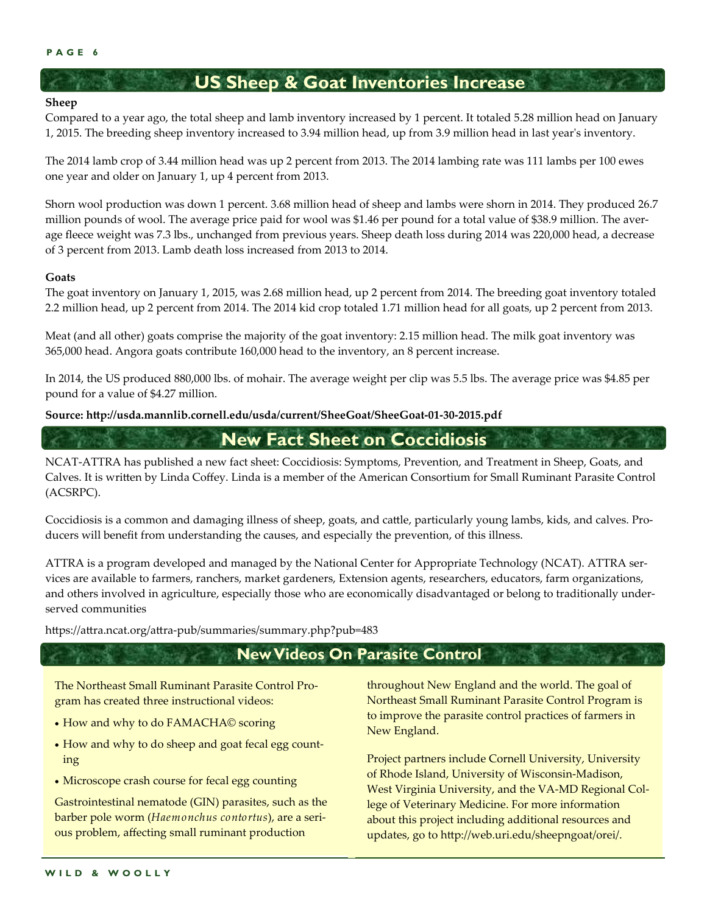### **US Sheep & Goat Inventories Increase**

#### **Sheep**

Compared to a year ago, the total sheep and lamb inventory increased by 1 percent. It totaled 5.28 million head on January 1, 2015. The breeding sheep inventory increased to 3.94 million head, up from 3.9 million head in last yearʹs inventory.

The 2014 lamb crop of 3.44 million head was up 2 percent from 2013. The 2014 lambing rate was 111 lambs per 100 ewes one year and older on January 1, up 4 percent from 2013.

Shorn wool production was down 1 percent. 3.68 million head of sheep and lambs were shorn in 2014. They produced 26.7 million pounds of wool. The average price paid for wool was \$1.46 per pound for a total value of \$38.9 million. The average fleece weight was 7.3 lbs., unchanged from previous years. Sheep death loss during 2014 was 220,000 head, a decrease of 3 percent from 2013. Lamb death loss increased from 2013 to 2014.

#### **Goats**

The goat inventory on January 1, 2015, was 2.68 million head, up 2 percent from 2014. The breeding goat inventory totaled 2.2 million head, up 2 percent from 2014. The 2014 kid crop totaled 1.71 million head for all goats, up 2 percent from 2013.

Meat (and all other) goats comprise the majority of the goat inventory: 2.15 million head. The milk goat inventory was 365,000 head. Angora goats contribute 160,000 head to the inventory, an 8 percent increase.

In 2014, the US produced 880,000 lbs. of mohair. The average weight per clip was 5.5 lbs. The average price was \$4.85 per pound for a value of \$4.27 million.

**Source: http://usda.mannlib.cornell.edu/usda/current/SheeGoat/SheeGoat‐01‐30‐2015.pdf**

**New Fact Sheet on Coccidiosis** 

NCAT‐ATTRA has published a new fact sheet: Coccidiosis: Symptoms, Prevention, and Treatment in Sheep, Goats, and Calves. It is written by Linda Coffey. Linda is a member of the American Consortium for Small Ruminant Parasite Control (ACSRPC).

Coccidiosis is a common and damaging illness of sheep, goats, and cattle, particularly young lambs, kids, and calves. Pro‐ ducers will benefit from understanding the causes, and especially the prevention, of this illness.

ATTRA is a program developed and managed by the National Center for Appropriate Technology (NCAT). ATTRA ser‐ vices are available to farmers, ranchers, market gardeners, Extension agents, researchers, educators, farm organizations, and others involved in agriculture, especially those who are economically disadvantaged or belong to traditionally under‐ served communities

https://attra.ncat.org/attra‐pub/summaries/summary.php?pub=483

### **New Videos On Parasite Control**

The Northeast Small Ruminant Parasite Control Pro‐ gram has created three instructional videos:

- How and why to do FAMACHA© scoring
- How and why to do sheep and goat fecal egg count ing
- Microscope crash course for fecal egg counting

Gastrointestinal nematode (GIN) parasites, such as the barber pole worm (*Haemonchus contortus*), are a seri‐ ous problem, affecting small ruminant production

throughout New England and the world. The goal of Northeast Small Ruminant Parasite Control Program is to improve the parasite control practices of farmers in New England.

Project partners include Cornell University, University of Rhode Island, University of Wisconsin‐Madison, West Virginia University, and the VA‐MD Regional Col‐ lege of Veterinary Medicine. For more information about this project including additional resources and updates, go to http://web.uri.edu/sheepngoat/orei/.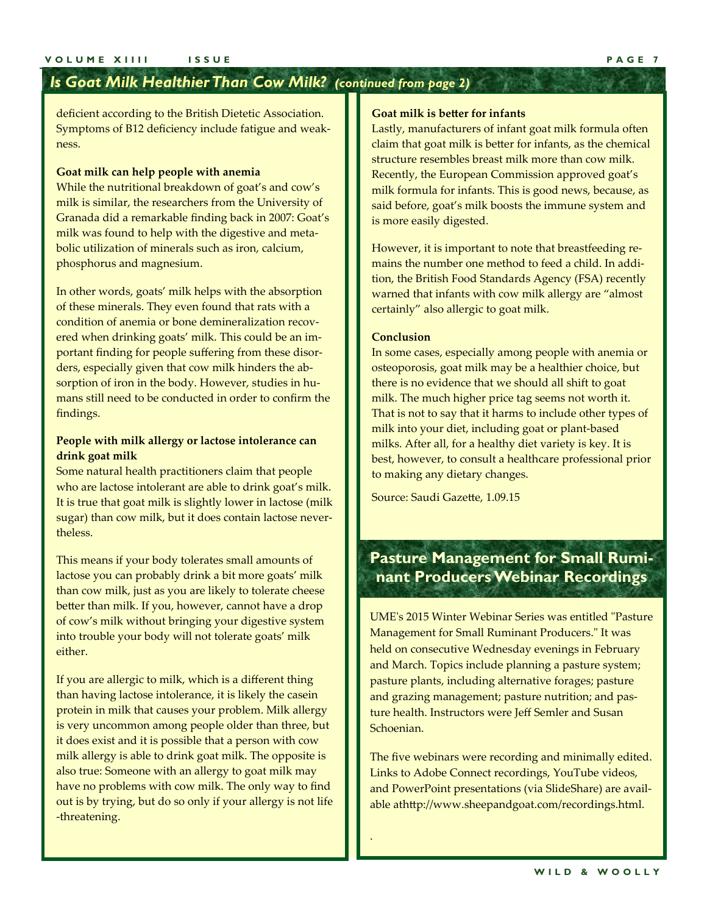### *Is Goat Milk Healthier Than Cow Milk? (continued from page 2)*

deficient according to the British Dietetic Association. Symptoms of B12 deficiency include fatigue and weak‐ ness.

#### **Goat milk can help people with anemia**

While the nutritional breakdown of goat's and cow's milk is similar, the researchers from the University of Granada did a remarkable finding back in 2007: Goat's milk was found to help with the digestive and meta‐ bolic utilization of minerals such as iron, calcium, phosphorus and magnesium.

In other words, goats' milk helps with the absorption of these minerals. They even found that rats with a condition of anemia or bone demineralization recovered when drinking goats' milk. This could be an im‐ portant finding for people suffering from these disor‐ ders, especially given that cow milk hinders the ab‐ sorption of iron in the body. However, studies in humans still need to be conducted in order to confirm the findings.

#### **People with milk allergy or lactose intolerance can drink goat milk**

Some natural health practitioners claim that people who are lactose intolerant are able to drink goat's milk. It is true that goat milk is slightly lower in lactose (milk sugar) than cow milk, but it does contain lactose never‐ theless.

This means if your body tolerates small amounts of lactose you can probably drink a bit more goats' milk than cow milk, just as you are likely to tolerate cheese better than milk. If you, however, cannot have a drop of cow's milk without bringing your digestive system into trouble your body will not tolerate goats' milk either.

If you are allergic to milk, which is a different thing than having lactose intolerance, it is likely the casein protein in milk that causes your problem. Milk allergy is very uncommon among people older than three, but it does exist and it is possible that a person with cow milk allergy is able to drink goat milk. The opposite is also true: Someone with an allergy to goat milk may have no problems with cow milk. The only way to find out is by trying, but do so only if your allergy is not life ‐threatening.

#### **Goat milk is better for infants**

Lastly, manufacturers of infant goat milk formula often claim that goat milk is better for infants, as the chemical structure resembles breast milk more than cow milk. Recently, the European Commission approved goat's milk formula for infants. This is good news, because, as said before, goat's milk boosts the immune system and is more easily digested.

However, it is important to note that breastfeeding re‐ mains the number one method to feed a child. In addi‐ tion, the British Food Standards Agency (FSA) recently warned that infants with cow milk allergy are "almost certainly" also allergic to goat milk.

#### **Conclusion**

.

In some cases, especially among people with anemia or osteoporosis, goat milk may be a healthier choice, but there is no evidence that we should all shift to goat milk. The much higher price tag seems not worth it. That is not to say that it harms to include other types of milk into your diet, including goat or plant‐based milks. After all, for a healthy diet variety is key. It is best, however, to consult a healthcare professional prior to making any dietary changes.

Source: Saudi Gazette, 1.09.15

### **Pasture Management for Small Ruminant Producers Webinar Recordings**

UME's 2015 Winter Webinar Series was entitled "Pasture" Management for Small Ruminant Producers." It was held on consecutive Wednesday evenings in February and March. Topics include planning a pasture system; pasture plants, including alternative forages; pasture and grazing management; pasture nutrition; and pas‐ ture health. Instructors were Jeff Semler and Susan Schoenian.

The five webinars were recording and minimally edited. Links to Adobe Connect recordings, YouTube videos, and PowerPoint presentations (via SlideShare) are avail‐ able athttp://www.sheepandgoat.com/recordings.html.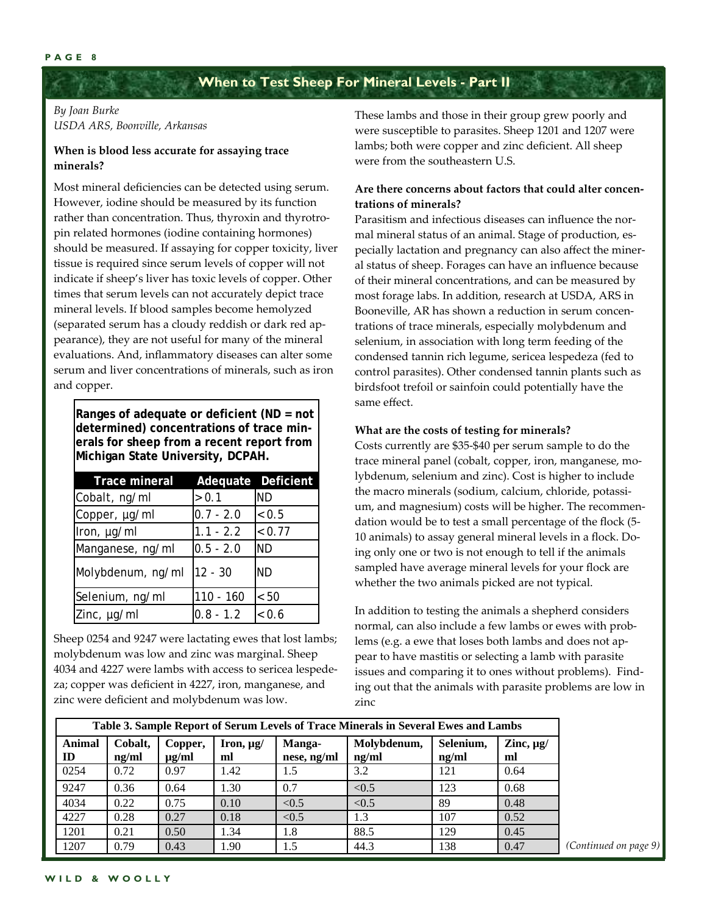#### **PAGE 8**

### **When to Test Sheep For Mineral Levels - Part II**

#### *By Joan Burke USDA ARS, Boonville, Arkansas*

#### **When is blood less accurate for assaying trace minerals?**

Most mineral deficiencies can be detected using serum. However, iodine should be measured by its function rather than concentration. Thus, thyroxin and thyrotropin related hormones (iodine containing hormones) should be measured. If assaying for copper toxicity, liver tissue is required since serum levels of copper will not indicate if sheep's liver has toxic levels of copper. Other times that serum levels can not accurately depict trace mineral levels. If blood samples become hemolyzed (separated serum has a cloudy reddish or dark red ap‐ pearance), they are not useful for many of the mineral evaluations. And, inflammatory diseases can alter some serum and liver concentrations of minerals, such as iron and copper.

**Ranges of adequate or deficient (ND = not determined) concentrations of trace minerals for sheep from a recent report from Michigan State University, DCPAH.** 

| <b>Trace mineral</b> |             | Adequate Deficient |
|----------------------|-------------|--------------------|
| Cobalt, ng/ml        | > 0.1       | <b>ND</b>          |
| Copper, µg/ml        | $0.7 - 2.0$ | < 0.5              |
| Iron, µg/ml          | $1.1 - 2.2$ | < 0.77             |
| Manganese, ng/ml     | $0.5 - 2.0$ | <b>ND</b>          |
| Molybdenum, ng/ml    | $12 - 30$   | <b>ND</b>          |
| Selenium, ng/ml      | $110 - 160$ | < 50               |
| Zinc, µg/ml          | $0.8 - 1.2$ | < 0.6              |

Sheep 0254 and 9247 were lactating ewes that lost lambs; molybdenum was low and zinc was marginal. Sheep 4034 and 4227 were lambs with access to sericea lespede‐ za; copper was deficient in 4227, iron, manganese, and zinc were deficient and molybdenum was low.

These lambs and those in their group grew poorly and were susceptible to parasites. Sheep 1201 and 1207 were lambs; both were copper and zinc deficient. All sheep were from the southeastern U.S.

#### **Are there concerns about factors that could alter concen‐ trations of minerals?**

Parasitism and infectious diseases can influence the nor‐ mal mineral status of an animal. Stage of production, especially lactation and pregnancy can also affect the miner‐ al status of sheep. Forages can have an influence because of their mineral concentrations, and can be measured by most forage labs. In addition, research at USDA, ARS in Booneville, AR has shown a reduction in serum concen‐ trations of trace minerals, especially molybdenum and selenium, in association with long term feeding of the condensed tannin rich legume, sericea lespedeza (fed to control parasites). Other condensed tannin plants such as birdsfoot trefoil or sainfoin could potentially have the same effect.

#### **What are the costs of testing for minerals?**

Costs currently are \$35‐\$40 per serum sample to do the trace mineral panel (cobalt, copper, iron, manganese, mo‐ lybdenum, selenium and zinc). Cost is higher to include the macro minerals (sodium, calcium, chloride, potassium, and magnesium) costs will be higher. The recommendation would be to test a small percentage of the flock (5‐ 10 animals) to assay general mineral levels in a flock. Do‐ ing only one or two is not enough to tell if the animals sampled have average mineral levels for your flock are whether the two animals picked are not typical.

In addition to testing the animals a shepherd considers normal, can also include a few lambs or ewes with prob‐ lems (e.g. a ewe that loses both lambs and does not ap‐ pear to have mastitis or selecting a lamb with parasite issues and comparing it to ones without problems). Find‐ ing out that the animals with parasite problems are low in zinc

| Table 3. Sample Report of Serum Levels of Trace Minerals in Several Ewes and Lambs |                  |                       |                      |                       |                      |                    |                      |  |
|------------------------------------------------------------------------------------|------------------|-----------------------|----------------------|-----------------------|----------------------|--------------------|----------------------|--|
| Animal<br>ID                                                                       | Cobalt,<br>ng/ml | Copper,<br>$\mu$ g/ml | Iron, $\mu$ g/<br>ml | Manga-<br>nese, ng/ml | Molybdenum,<br>ng/ml | Selenium,<br>ng/ml | Zinc, $\mu$ g/<br>ml |  |
| 0254                                                                               | 0.72             | 0.97                  | 1.42                 | 1.5                   | 3.2                  | 121                | 0.64                 |  |
| 9247                                                                               | 0.36             | 0.64                  | 1.30                 | 0.7                   | < 0.5                | 123                | 0.68                 |  |
| 4034                                                                               | 0.22             | 0.75                  | 0.10                 | < 0.5                 | < 0.5                | 89                 | 0.48                 |  |
| 4227                                                                               | 0.28             | 0.27                  | 0.18                 | < 0.5                 | 1.3                  | 107                | 0.52                 |  |
| 1201                                                                               | 0.21             | 0.50                  | 1.34                 | 1.8                   | 88.5                 | 129                | 0.45                 |  |
| 1207                                                                               | 0.79             | 0.43                  | 1.90                 | 1.5                   | 44.3                 | 138                | 0.47                 |  |

*(Continued on page 9)*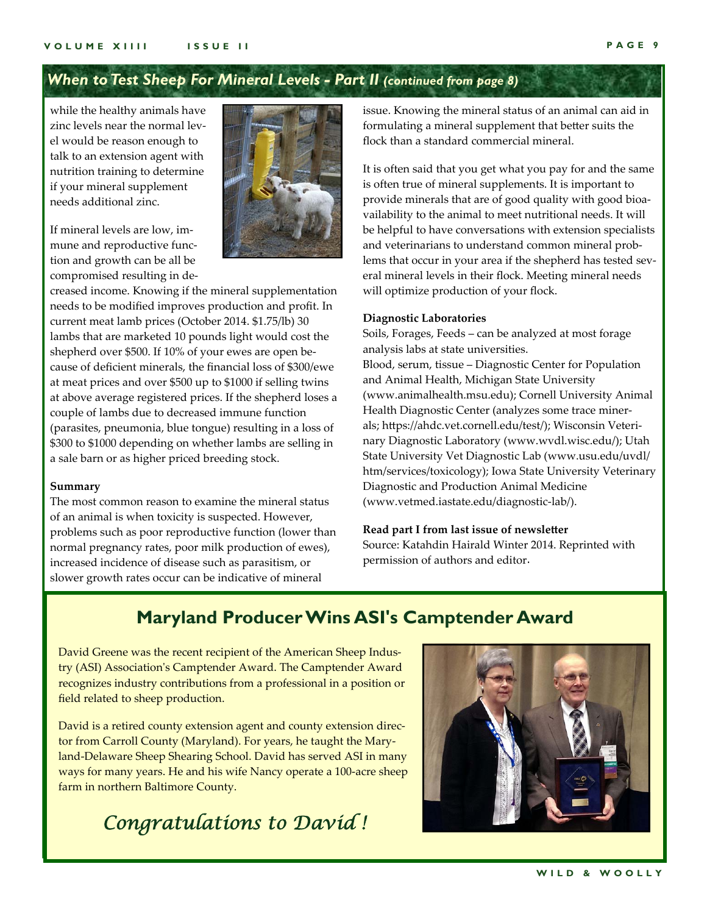### *When to Test Sheep For Mineral Levels - Part II (continued from page 8)*

while the healthy animals have zinc levels near the normal level would be reason enough to talk to an extension agent with nutrition training to determine if your mineral supplement needs additional zinc.

If mineral levels are low, im‐ mune and reproductive func‐ tion and growth can be all be compromised resulting in de‐



creased income. Knowing if the mineral supplementation needs to be modified improves production and profit. In current meat lamb prices (October 2014. \$1.75/lb) 30 lambs that are marketed 10 pounds light would cost the shepherd over \$500. If 10% of your ewes are open because of deficient minerals, the financial loss of \$300/ewe at meat prices and over \$500 up to \$1000 if selling twins at above average registered prices. If the shepherd loses a couple of lambs due to decreased immune function (parasites, pneumonia, blue tongue) resulting in a loss of \$300 to \$1000 depending on whether lambs are selling in a sale barn or as higher priced breeding stock.

#### **Summary**

The most common reason to examine the mineral status of an animal is when toxicity is suspected. However, problems such as poor reproductive function (lower than normal pregnancy rates, poor milk production of ewes), increased incidence of disease such as parasitism, or slower growth rates occur can be indicative of mineral

issue. Knowing the mineral status of an animal can aid in formulating a mineral supplement that better suits the flock than a standard commercial mineral.

It is often said that you get what you pay for and the same is often true of mineral supplements. It is important to provide minerals that are of good quality with good bioa‐ vailability to the animal to meet nutritional needs. It will be helpful to have conversations with extension specialists and veterinarians to understand common mineral prob‐ lems that occur in your area if the shepherd has tested sev‐ eral mineral levels in their flock. Meeting mineral needs will optimize production of your flock.

#### **Diagnostic Laboratories**

Soils, Forages, Feeds – can be analyzed at most forage analysis labs at state universities. Blood, serum, tissue – Diagnostic Center for Population and Animal Health, Michigan State University (www.animalhealth.msu.edu); Cornell University Animal Health Diagnostic Center (analyzes some trace miner‐ als; https://ahdc.vet.cornell.edu/test/); Wisconsin Veteri‐ nary Diagnostic Laboratory (www.wvdl.wisc.edu/); Utah State University Vet Diagnostic Lab (www.usu.edu/uvdl/ htm/services/toxicology); Iowa State University Veterinary Diagnostic and Production Animal Medicine (www.vetmed.iastate.edu/diagnostic‐lab/).

#### **Read part I from last issue of newsletter**

Source: Katahdin Hairald Winter 2014. Reprinted with permission of authors and editor.

## **Maryland Producer Wins ASI's Camptender Award**

David Greene was the recent recipient of the American Sheep Indus‐ try (ASI) Associationʹs Camptender Award. The Camptender Award recognizes industry contributions from a professional in a position or field related to sheep production.

David is a retired county extension agent and county extension director from Carroll County (Maryland). For years, he taught the Mary‐ land‐Delaware Sheep Shearing School. David has served ASI in many ways for many years. He and his wife Nancy operate a 100‐acre sheep farm in northern Baltimore County.

## *Congratulations to David !*

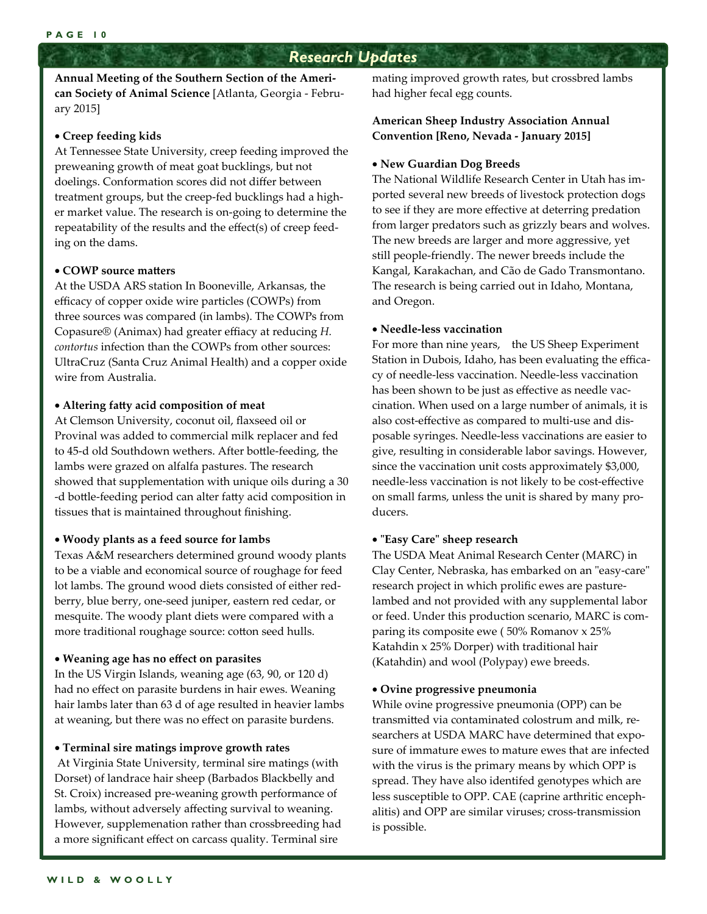### *Research Updates*

**Annual Meeting of the Southern Section of the Ameri‐ can Society of Animal Science** [Atlanta, Georgia ‐ Febru‐ ary 2015]

#### **Creep feeding kids**

At Tennessee State University, creep feeding improved the preweaning growth of meat goat bucklings, but not doelings. Conformation scores did not differ between treatment groups, but the creep‐fed bucklings had a high‐ er market value. The research is on‐going to determine the repeatability of the results and the effect(s) of creep feed‐ ing on the dams.

#### **COWP source matters**

At the USDA ARS station In Booneville, Arkansas, the efficacy of copper oxide wire particles (COWPs) from three sources was compared (in lambs). The COWPs from Copasure® (Animax) had greater effiacy at reducing *H. contortus* infection than the COWPs from other sources: UltraCruz (Santa Cruz Animal Health) and a copper oxide wire from Australia.

#### **Altering fatty acid composition of meat**

At Clemson University, coconut oil, flaxseed oil or Provinal was added to commercial milk replacer and fed to 45‐d old Southdown wethers. After bottle‐feeding, the lambs were grazed on alfalfa pastures. The research showed that supplementation with unique oils during a 30 ‐d bottle‐feeding period can alter fatty acid composition in tissues that is maintained throughout finishing.

#### **Woody plants as a feed source for lambs**

Texas A&M researchers determined ground woody plants to be a viable and economical source of roughage for feed lot lambs. The ground wood diets consisted of either red‐ berry, blue berry, one‐seed juniper, eastern red cedar, or mesquite. The woody plant diets were compared with a more traditional roughage source: cotton seed hulls.

#### **Weaning age has no effect on parasites**

In the US Virgin Islands, weaning age (63, 90, or 120 d) had no effect on parasite burdens in hair ewes. Weaning hair lambs later than 63 d of age resulted in heavier lambs at weaning, but there was no effect on parasite burdens.

#### **Terminal sire matings improve growth rates**

 At Virginia State University, terminal sire matings (with Dorset) of landrace hair sheep (Barbados Blackbelly and St. Croix) increased pre‐weaning growth performance of lambs, without adversely affecting survival to weaning. However, supplemenation rather than crossbreeding had a more significant effect on carcass quality. Terminal sire

mating improved growth rates, but crossbred lambs had higher fecal egg counts.

#### **American Sheep Industry Association Annual Convention [Reno, Nevada ‐ January 2015]**

#### **New Guardian Dog Breeds**

The National Wildlife Research Center in Utah has im‐ ported several new breeds of livestock protection dogs to see if they are more effective at deterring predation from larger predators such as grizzly bears and wolves. The new breeds are larger and more aggressive, yet still people‐friendly. The newer breeds include the Kangal, Karakachan, and Cão de Gado Transmontano. The research is being carried out in Idaho, Montana, and Oregon.

#### **Needle‐less vaccination**

For more than nine years, the US Sheep Experiment Station in Dubois, Idaho, has been evaluating the effica‐ cy of needle‐less vaccination. Needle‐less vaccination has been shown to be just as effective as needle vaccination. When used on a large number of animals, it is also cost‐effective as compared to multi‐use and dis‐ posable syringes. Needle‐less vaccinations are easier to give, resulting in considerable labor savings. However, since the vaccination unit costs approximately \$3,000, needle‐less vaccination is not likely to be cost‐effective on small farms, unless the unit is shared by many pro‐ ducers.

#### **ʺEasy Careʺ sheep research**

The USDA Meat Animal Research Center (MARC) in Clay Center, Nebraska, has embarked on an "easy-care" research project in which prolific ewes are pasture‐ lambed and not provided with any supplemental labor or feed. Under this production scenario, MARC is com‐ paring its composite ewe ( 50% Romanov x 25% Katahdin x 25% Dorper) with traditional hair (Katahdin) and wool (Polypay) ewe breeds.

#### **Ovine progressive pneumonia**

While ovine progressive pneumonia (OPP) can be transmitted via contaminated colostrum and milk, re‐ searchers at USDA MARC have determined that exposure of immature ewes to mature ewes that are infected with the virus is the primary means by which OPP is spread. They have also identifed genotypes which are less susceptible to OPP. CAE (caprine arthritic enceph‐ alitis) and OPP are similar viruses; cross‐transmission is possible.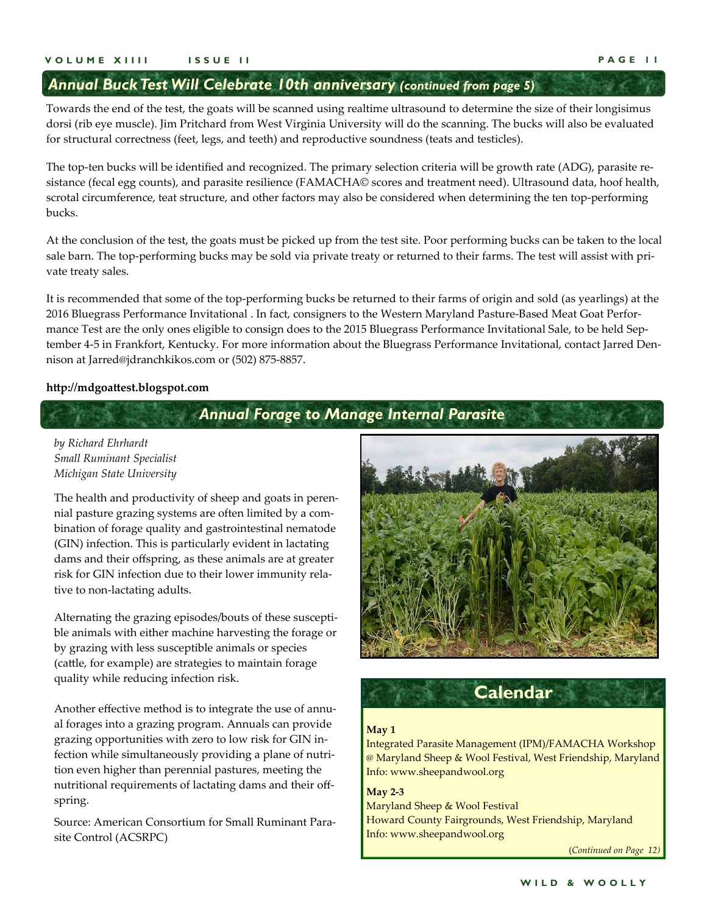### *Annual Buck Test Will Celebrate 10th anniversary (continued from page 5)*

Towards the end of the test, the goats will be scanned using realtime ultrasound to determine the size of their longisimus dorsi (rib eye muscle). Jim Pritchard from West Virginia University will do the scanning. The bucks will also be evaluated for structural correctness (feet, legs, and teeth) and reproductive soundness (teats and testicles).

The top-ten bucks will be identified and recognized. The primary selection criteria will be growth rate (ADG), parasite resistance (fecal egg counts), and parasite resilience (FAMACHA© scores and treatment need). Ultrasound data, hoof health, scrotal circumference, teat structure, and other factors may also be considered when determining the ten top-performing bucks.

At the conclusion of the test, the goats must be picked up from the test site. Poor performing bucks can be taken to the local sale barn. The top-performing bucks may be sold via private treaty or returned to their farms. The test will assist with private treaty sales.

It is recommended that some of the top‐performing bucks be returned to their farms of origin and sold (as yearlings) at the 2016 Bluegrass Performance Invitational . In fact, consigners to the Western Maryland Pasture‐Based Meat Goat Perfor‐ mance Test are the only ones eligible to consign does to the 2015 Bluegrass Performance Invitational Sale, to be held September 4-5 in Frankfort, Kentucky. For more information about the Bluegrass Performance Invitational, contact Jarred Dennison at Jarred@jdranchkikos.com or (502) 875‐8857.

#### **http://mdgoattest.blogspot.com**

### *Annual Forage to Manage Internal Parasite*

#### *by Richard Ehrhardt Small Ruminant Specialist Michigan State University*

The health and productivity of sheep and goats in peren‐ nial pasture grazing systems are often limited by a com‐ bination of forage quality and gastrointestinal nematode (GIN) infection. This is particularly evident in lactating dams and their offspring, as these animals are at greater risk for GIN infection due to their lower immunity rela‐ tive to non‐lactating adults.

Alternating the grazing episodes/bouts of these suscepti‐ ble animals with either machine harvesting the forage or by grazing with less susceptible animals or species (cattle, for example) are strategies to maintain forage quality while reducing infection risk.

Another effective method is to integrate the use of annu‐ al forages into a grazing program. Annuals can provide grazing opportunities with zero to low risk for GIN in‐ fection while simultaneously providing a plane of nutrition even higher than perennial pastures, meeting the nutritional requirements of lactating dams and their off‐ spring.

Source: American Consortium for Small Ruminant Para‐ site Control (ACSRPC)





#### **May 1**

Integrated Parasite Management (IPM)/FAMACHA Workshop @ Maryland Sheep & Wool Festival, West Friendship, Maryland Info: www.sheepandwool.org

**May 2‐3** Maryland Sheep & Wool Festival Howard County Fairgrounds, West Friendship, Maryland Info: www.sheepandwool.org

(*Continued on Page 12)*